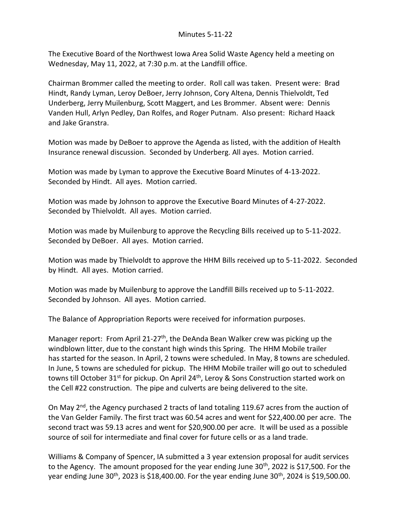The Executive Board of the Northwest Iowa Area Solid Waste Agency held a meeting on Wednesday, May 11, 2022, at 7:30 p.m. at the Landfill office.

Chairman Brommer called the meeting to order. Roll call was taken. Present were: Brad Hindt, Randy Lyman, Leroy DeBoer, Jerry Johnson, Cory Altena, Dennis Thielvoldt, Ted Underberg, Jerry Muilenburg, Scott Maggert, and Les Brommer. Absent were: Dennis Vanden Hull, Arlyn Pedley, Dan Rolfes, and Roger Putnam. Also present: Richard Haack and Jake Granstra.

Motion was made by DeBoer to approve the Agenda as listed, with the addition of Health Insurance renewal discussion. Seconded by Underberg. All ayes. Motion carried.

Motion was made by Lyman to approve the Executive Board Minutes of 4-13-2022. Seconded by Hindt. All ayes. Motion carried.

Motion was made by Johnson to approve the Executive Board Minutes of 4-27-2022. Seconded by Thielvoldt. All ayes. Motion carried.

Motion was made by Muilenburg to approve the Recycling Bills received up to 5-11-2022. Seconded by DeBoer. All ayes. Motion carried.

Motion was made by Thielvoldt to approve the HHM Bills received up to 5-11-2022. Seconded by Hindt. All ayes. Motion carried.

Motion was made by Muilenburg to approve the Landfill Bills received up to 5-11-2022. Seconded by Johnson. All ayes. Motion carried.

The Balance of Appropriation Reports were received for information purposes.

Manager report: From April 21-27<sup>th</sup>, the DeAnda Bean Walker crew was picking up the windblown litter, due to the constant high winds this Spring. The HHM Mobile trailer has started for the season. In April, 2 towns were scheduled. In May, 8 towns are scheduled. In June, 5 towns are scheduled for pickup. The HHM Mobile trailer will go out to scheduled towns till October 31<sup>st</sup> for pickup. On April 24<sup>th</sup>, Leroy & Sons Construction started work on the Cell #22 construction. The pipe and culverts are being delivered to the site.

On May  $2<sup>nd</sup>$ , the Agency purchased 2 tracts of land totaling 119.67 acres from the auction of the Van Gelder Family. The first tract was 60.54 acres and went for \$22,400.00 per acre. The second tract was 59.13 acres and went for \$20,900.00 per acre. It will be used as a possible source of soil for intermediate and final cover for future cells or as a land trade.

Williams & Company of Spencer, IA submitted a 3 year extension proposal for audit services to the Agency. The amount proposed for the year ending June 30<sup>th</sup>, 2022 is \$17,500. For the year ending June  $30<sup>th</sup>$ , 2023 is \$18,400.00. For the year ending June  $30<sup>th</sup>$ , 2024 is \$19,500.00.